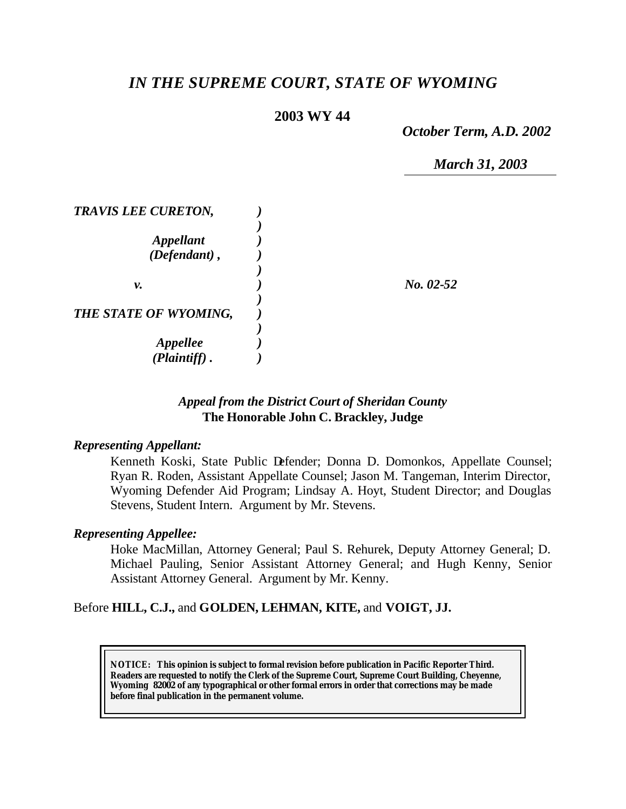# *IN THE SUPREME COURT, STATE OF WYOMING*

### **2003 WY 44**

*October Term, A.D. 2002*

*March 31, 2003*

| <b>TRAVIS LEE CURETON,</b>       |             |
|----------------------------------|-------------|
| <b>Appellant</b><br>(Defendant), |             |
| ν.                               | $No. 02-52$ |
| THE STATE OF WYOMING,            |             |
| <b>Appellee</b><br>(Plaintiff)   |             |

#### *Appeal from the District Court of Sheridan County* **The Honorable John C. Brackley, Judge**

#### *Representing Appellant:*

Kenneth Koski, State Public Defender; Donna D. Domonkos, Appellate Counsel; Ryan R. Roden, Assistant Appellate Counsel; Jason M. Tangeman, Interim Director, Wyoming Defender Aid Program; Lindsay A. Hoyt, Student Director; and Douglas Stevens, Student Intern. Argument by Mr. Stevens.

#### *Representing Appellee:*

Hoke MacMillan, Attorney General; Paul S. Rehurek, Deputy Attorney General; D. Michael Pauling, Senior Assistant Attorney General; and Hugh Kenny, Senior Assistant Attorney General. Argument by Mr. Kenny.

#### Before **HILL, C.J.,** and **GOLDEN, LEHMAN, KITE,** and **VOIGT, JJ.**

**NOTICE:** *This opinion is subject to formal revision before publication in Pacific Reporter Third. Readers are requested to notify the Clerk of the Supreme Court, Supreme Court Building, Cheyenne, Wyoming 82002 of any typographical or other formal errors in order that corrections may be made before final publication in the permanent volume.*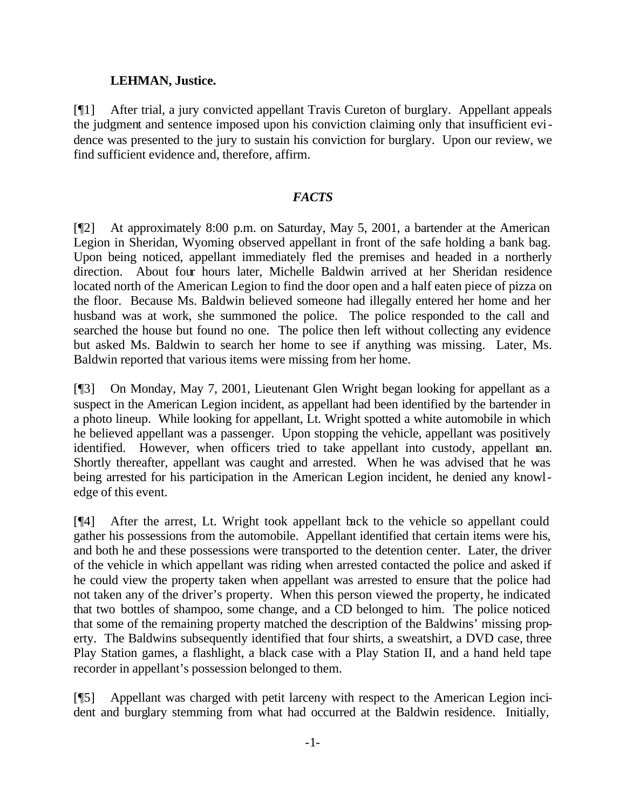#### **LEHMAN, Justice.**

[¶1] After trial, a jury convicted appellant Travis Cureton of burglary. Appellant appeals the judgment and sentence imposed upon his conviction claiming only that insufficient evidence was presented to the jury to sustain his conviction for burglary. Upon our review, we find sufficient evidence and, therefore, affirm.

#### *FACTS*

[¶2] At approximately 8:00 p.m. on Saturday, May 5, 2001, a bartender at the American Legion in Sheridan, Wyoming observed appellant in front of the safe holding a bank bag. Upon being noticed, appellant immediately fled the premises and headed in a northerly direction. About four hours later, Michelle Baldwin arrived at her Sheridan residence located north of the American Legion to find the door open and a half eaten piece of pizza on the floor. Because Ms. Baldwin believed someone had illegally entered her home and her husband was at work, she summoned the police. The police responded to the call and searched the house but found no one. The police then left without collecting any evidence but asked Ms. Baldwin to search her home to see if anything was missing. Later, Ms. Baldwin reported that various items were missing from her home.

[¶3] On Monday, May 7, 2001, Lieutenant Glen Wright began looking for appellant as a suspect in the American Legion incident, as appellant had been identified by the bartender in a photo lineup. While looking for appellant, Lt. Wright spotted a white automobile in which he believed appellant was a passenger. Upon stopping the vehicle, appellant was positively identified. However, when officers tried to take appellant into custody, appellant ran. Shortly thereafter, appellant was caught and arrested. When he was advised that he was being arrested for his participation in the American Legion incident, he denied any knowledge of this event.

[¶4] After the arrest, Lt. Wright took appellant back to the vehicle so appellant could gather his possessions from the automobile. Appellant identified that certain items were his, and both he and these possessions were transported to the detention center. Later, the driver of the vehicle in which appellant was riding when arrested contacted the police and asked if he could view the property taken when appellant was arrested to ensure that the police had not taken any of the driver's property. When this person viewed the property, he indicated that two bottles of shampoo, some change, and a CD belonged to him. The police noticed that some of the remaining property matched the description of the Baldwins' missing property. The Baldwins subsequently identified that four shirts, a sweatshirt, a DVD case, three Play Station games, a flashlight, a black case with a Play Station II, and a hand held tape recorder in appellant's possession belonged to them.

[¶5] Appellant was charged with petit larceny with respect to the American Legion incident and burglary stemming from what had occurred at the Baldwin residence. Initially,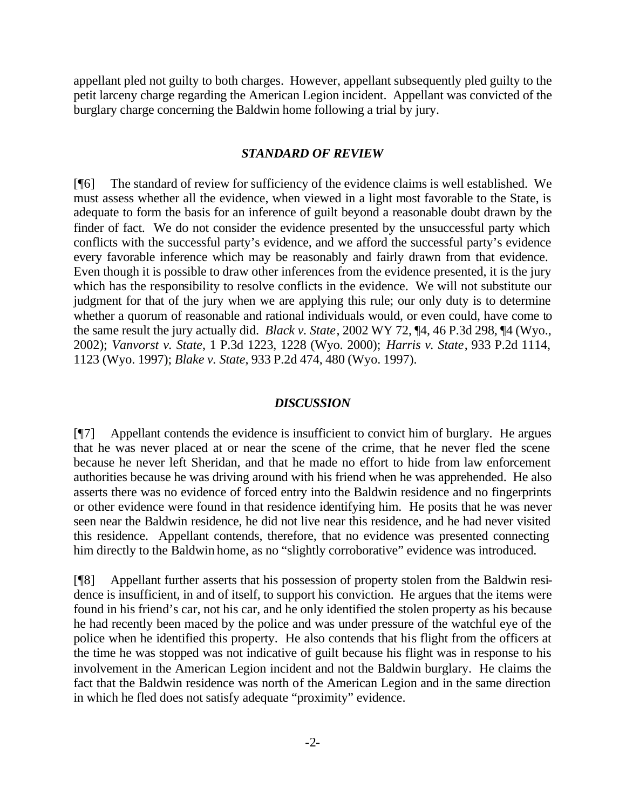appellant pled not guilty to both charges. However, appellant subsequently pled guilty to the petit larceny charge regarding the American Legion incident. Appellant was convicted of the burglary charge concerning the Baldwin home following a trial by jury.

#### *STANDARD OF REVIEW*

[¶6] The standard of review for sufficiency of the evidence claims is well established. We must assess whether all the evidence, when viewed in a light most favorable to the State, is adequate to form the basis for an inference of guilt beyond a reasonable doubt drawn by the finder of fact. We do not consider the evidence presented by the unsuccessful party which conflicts with the successful party's evidence, and we afford the successful party's evidence every favorable inference which may be reasonably and fairly drawn from that evidence. Even though it is possible to draw other inferences from the evidence presented, it is the jury which has the responsibility to resolve conflicts in the evidence. We will not substitute our judgment for that of the jury when we are applying this rule; our only duty is to determine whether a quorum of reasonable and rational individuals would, or even could, have come to the same result the jury actually did. *Black v. State*, 2002 WY 72, ¶4, 46 P.3d 298, ¶4 (Wyo., 2002); *Vanvorst v. State*, 1 P.3d 1223, 1228 (Wyo. 2000); *Harris v. State*, 933 P.2d 1114, 1123 (Wyo. 1997); *Blake v. State*, 933 P.2d 474, 480 (Wyo. 1997).

#### *DISCUSSION*

[¶7] Appellant contends the evidence is insufficient to convict him of burglary. He argues that he was never placed at or near the scene of the crime, that he never fled the scene because he never left Sheridan, and that he made no effort to hide from law enforcement authorities because he was driving around with his friend when he was apprehended. He also asserts there was no evidence of forced entry into the Baldwin residence and no fingerprints or other evidence were found in that residence identifying him. He posits that he was never seen near the Baldwin residence, he did not live near this residence, and he had never visited this residence. Appellant contends, therefore, that no evidence was presented connecting him directly to the Baldwin home, as no "slightly corroborative" evidence was introduced.

[¶8] Appellant further asserts that his possession of property stolen from the Baldwin residence is insufficient, in and of itself, to support his conviction. He argues that the items were found in his friend's car, not his car, and he only identified the stolen property as his because he had recently been maced by the police and was under pressure of the watchful eye of the police when he identified this property. He also contends that his flight from the officers at the time he was stopped was not indicative of guilt because his flight was in response to his involvement in the American Legion incident and not the Baldwin burglary. He claims the fact that the Baldwin residence was north of the American Legion and in the same direction in which he fled does not satisfy adequate "proximity" evidence.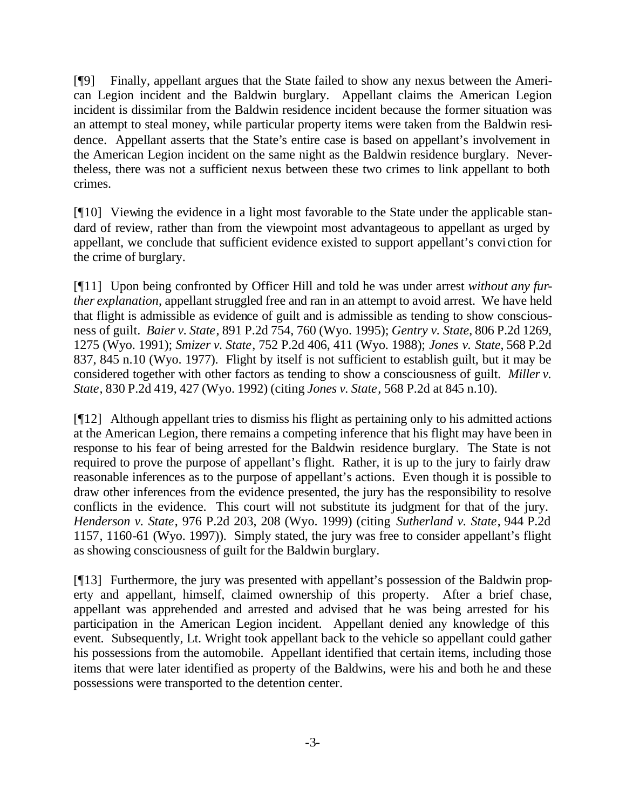[¶9] Finally, appellant argues that the State failed to show any nexus between the American Legion incident and the Baldwin burglary. Appellant claims the American Legion incident is dissimilar from the Baldwin residence incident because the former situation was an attempt to steal money, while particular property items were taken from the Baldwin residence. Appellant asserts that the State's entire case is based on appellant's involvement in the American Legion incident on the same night as the Baldwin residence burglary. Nevertheless, there was not a sufficient nexus between these two crimes to link appellant to both crimes.

[¶10] Viewing the evidence in a light most favorable to the State under the applicable standard of review, rather than from the viewpoint most advantageous to appellant as urged by appellant, we conclude that sufficient evidence existed to support appellant's conviction for the crime of burglary.

[¶11] Upon being confronted by Officer Hill and told he was under arrest *without any further explanation*, appellant struggled free and ran in an attempt to avoid arrest. We have held that flight is admissible as evidence of guilt and is admissible as tending to show consciousness of guilt. *Baier v. State*, 891 P.2d 754, 760 (Wyo. 1995); *Gentry v. State*, 806 P.2d 1269, 1275 (Wyo. 1991); *Smizer v. State*, 752 P.2d 406, 411 (Wyo. 1988); *Jones v. State*, 568 P.2d 837, 845 n.10 (Wyo. 1977). Flight by itself is not sufficient to establish guilt, but it may be considered together with other factors as tending to show a consciousness of guilt. *Miller v. State*, 830 P.2d 419, 427 (Wyo. 1992) (citing *Jones v. State*, 568 P.2d at 845 n.10).

[¶12] Although appellant tries to dismiss his flight as pertaining only to his admitted actions at the American Legion, there remains a competing inference that his flight may have been in response to his fear of being arrested for the Baldwin residence burglary. The State is not required to prove the purpose of appellant's flight. Rather, it is up to the jury to fairly draw reasonable inferences as to the purpose of appellant's actions. Even though it is possible to draw other inferences from the evidence presented, the jury has the responsibility to resolve conflicts in the evidence. This court will not substitute its judgment for that of the jury. *Henderson v. State*, 976 P.2d 203, 208 (Wyo. 1999) (citing *Sutherland v. State*, 944 P.2d 1157, 1160-61 (Wyo. 1997)). Simply stated, the jury was free to consider appellant's flight as showing consciousness of guilt for the Baldwin burglary.

[¶13] Furthermore, the jury was presented with appellant's possession of the Baldwin property and appellant, himself, claimed ownership of this property. After a brief chase, appellant was apprehended and arrested and advised that he was being arrested for his participation in the American Legion incident. Appellant denied any knowledge of this event. Subsequently, Lt. Wright took appellant back to the vehicle so appellant could gather his possessions from the automobile. Appellant identified that certain items, including those items that were later identified as property of the Baldwins, were his and both he and these possessions were transported to the detention center.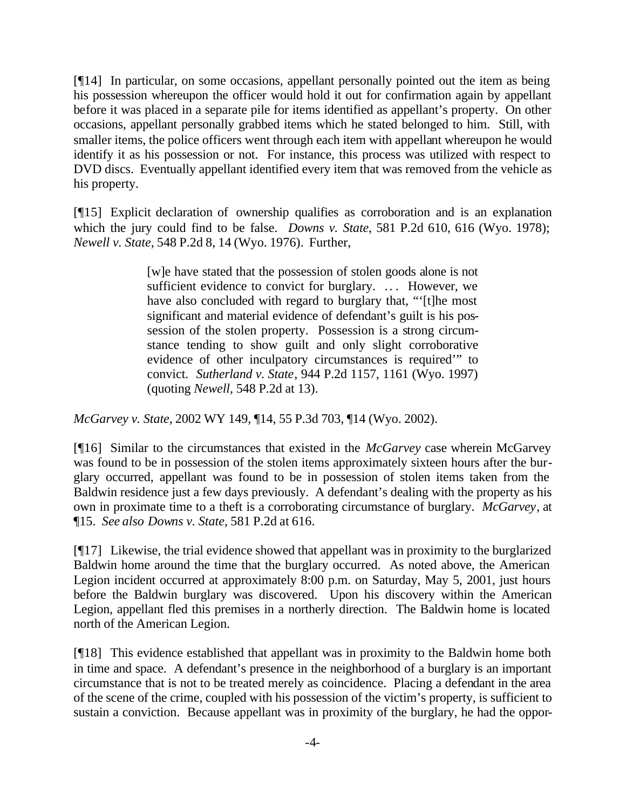[¶14] In particular, on some occasions, appellant personally pointed out the item as being his possession whereupon the officer would hold it out for confirmation again by appellant before it was placed in a separate pile for items identified as appellant's property. On other occasions, appellant personally grabbed items which he stated belonged to him. Still, with smaller items, the police officers went through each item with appellant whereupon he would identify it as his possession or not. For instance, this process was utilized with respect to DVD discs. Eventually appellant identified every item that was removed from the vehicle as his property.

[¶15] Explicit declaration of ownership qualifies as corroboration and is an explanation which the jury could find to be false. *Downs v. State*, 581 P.2d 610, 616 (Wyo. 1978); *Newell v. State*, 548 P.2d 8, 14 (Wyo. 1976). Further,

> [w]e have stated that the possession of stolen goods alone is not sufficient evidence to convict for burglary. ... However, we have also concluded with regard to burglary that, "'[t]he most significant and material evidence of defendant's guilt is his possession of the stolen property. Possession is a strong circumstance tending to show guilt and only slight corroborative evidence of other inculpatory circumstances is required'" to convict. *Sutherland v. State*, 944 P.2d 1157, 1161 (Wyo. 1997) (quoting *Newell*, 548 P.2d at 13).

*McGarvey v. State*, 2002 WY 149, ¶14, 55 P.3d 703, ¶14 (Wyo. 2002).

[¶16] Similar to the circumstances that existed in the *McGarvey* case wherein McGarvey was found to be in possession of the stolen items approximately sixteen hours after the burglary occurred, appellant was found to be in possession of stolen items taken from the Baldwin residence just a few days previously. A defendant's dealing with the property as his own in proximate time to a theft is a corroborating circumstance of burglary. *McGarvey*, at ¶15. *See also Downs v. State*, 581 P.2d at 616.

[¶17] Likewise, the trial evidence showed that appellant was in proximity to the burglarized Baldwin home around the time that the burglary occurred. As noted above, the American Legion incident occurred at approximately 8:00 p.m. on Saturday, May 5, 2001, just hours before the Baldwin burglary was discovered. Upon his discovery within the American Legion, appellant fled this premises in a northerly direction. The Baldwin home is located north of the American Legion.

[¶18] This evidence established that appellant was in proximity to the Baldwin home both in time and space. A defendant's presence in the neighborhood of a burglary is an important circumstance that is not to be treated merely as coincidence. Placing a defendant in the area of the scene of the crime, coupled with his possession of the victim's property, is sufficient to sustain a conviction. Because appellant was in proximity of the burglary, he had the oppor